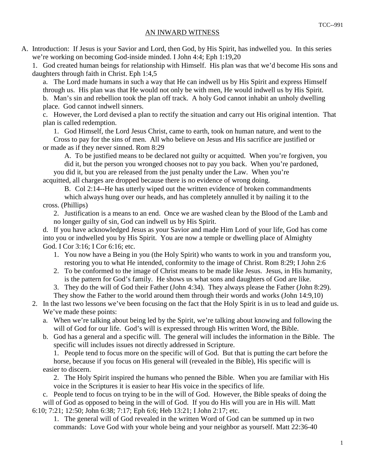## AN INWARD WITNESS

A. Introduction: If Jesus is your Savior and Lord, then God, by His Spirit, has indwelled you. In this series we're working on becoming God-inside minded. I John 4:4; Eph 1:19,20

 1. God created human beings for relationship with Himself. His plan was that we'd become His sons and daughters through faith in Christ. Eph 1:4,5

 a. The Lord made humans in such a way that He can indwell us by His Spirit and express Himself through us. His plan was that He would not only be with men, He would indwell us by His Spirit. b. Man's sin and rebellion took the plan off track. A holy God cannot inhabit an unholy dwelling

place. God cannot indwell sinners.

 c. However, the Lord devised a plan to rectify the situation and carry out His original intention. That plan is called redemption.

1. God Himself, the Lord Jesus Christ, came to earth, took on human nature, and went to the

 Cross to pay for the sins of men. All who believe on Jesus and His sacrifice are justified or or made as if they never sinned. Rom 8:29

 A. To be justified means to be declared not guilty or acquitted. When you're forgiven, you did it, but the person you wronged chooses not to pay you back. When you're pardoned,

 you did it, but you are released from the just penalty under the Law. When you're acquitted, all charges are dropped because there is no evidence of wrong doing.

 B. Col 2:14--He has utterly wiped out the written evidence of broken commandments which always hung over our heads, and has completely annulled it by nailing it to the cross. (Phillips)

 2. Justification is a means to an end. Once we are washed clean by the Blood of the Lamb and no longer guilty of sin, God can indwell us by His Spirit.

 d. If you have acknowledged Jesus as your Savior and made Him Lord of your life, God has come into you or indwelled you by His Spirit. You are now a temple or dwelling place of Almighty God. I Cor 3:16; I Cor 6:16; etc.

- 1. You now have a Being in you (the Holy Spirit) who wants to work in you and transform you, restoring you to what He intended, conformity to the image of Christ. Rom 8:29; I John 2:6
- 2. To be conformed to the image of Christ means to be made like Jesus. Jesus, in His humanity, is the pattern for God's family. He shows us what sons and daughters of God are like.

3. They do the will of God their Father (John 4:34). They always please the Father (John 8:29).

- They show the Father to the world around them through their words and works (John 14:9,10)
- 2. In the last two lessons we've been focusing on the fact that the Holy Spirit is in us to lead and guide us. We've made these points:
	- a. When we're talking about being led by the Spirit, we're talking about knowing and following the will of God for our life. God's will is expressed through His written Word, the Bible.
	- b. God has a general and a specific will. The general will includes the information in the Bible. The specific will includes issues not directly addressed in Scripture.

 1. People tend to focus more on the specific will of God. But that is putting the cart before the horse, because if you focus on His general will (revealed in the Bible), His specific will is

easier to discern.

 2. The Holy Spirit inspired the humans who penned the Bible. When you are familiar with His voice in the Scriptures it is easier to hear His voice in the specifics of life.

 c. People tend to focus on trying to be in the will of God. However, the Bible speaks of doing the will of God as opposed to being in the will of God. If you do His will you are in His will. Matt 6:10; 7:21; 12:50; John 6:38; 7:17; Eph 6:6; Heb 13:21; I John 2:17; etc.

 1. The general will of God revealed in the written Word of God can be summed up in two commands: Love God with your whole being and your neighbor as yourself. Matt 22:36-40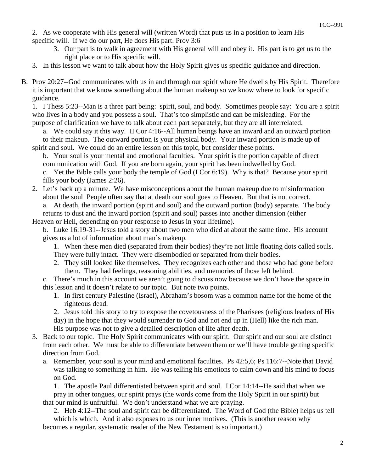- 2. As we cooperate with His general will (written Word) that puts us in a position to learn His specific will. If we do our part, He does His part. Prov 3:6
	- 3. Our part is to walk in agreement with His general will and obey it. His part is to get us to the right place or to His specific will.
- 3. In this lesson we want to talk about how the Holy Spirit gives us specific guidance and direction.
- B. Prov 20:27--God communicates with us in and through our spirit where He dwells by His Spirit. Therefore it is important that we know something about the human makeup so we know where to look for specific guidance.

 1. I Thess 5:23--Man is a three part being: spirit, soul, and body. Sometimes people say: You are a spirit who lives in a body and you possess a soul. That's too simplistic and can be misleading. For the purpose of clarification we have to talk about each part separately, but they are all interrelated.

 a. We could say it this way. II Cor 4:16--All human beings have an inward and an outward portion to their makeup. The outward portion is your physical body. Your inward portion is made up of spirit and soul. We could do an entire lesson on this topic, but consider these points.

 b. Your soul is your mental and emotional faculties. Your spirit is the portion capable of direct communication with God. If you are born again, your spirit has been indwelled by God.

 c. Yet the Bible calls your body the temple of God (I Cor 6:19). Why is that? Because your spirit fills your body (James 2:26).

 2. Let's back up a minute. We have misconceptions about the human makeup due to misinformation about the soul People often say that at death our soul goes to Heaven. But that is not correct. a. At death, the inward portion (spirit and soul) and the outward portion (body) separate. The body returns to dust and the inward portion (spirit and soul) passes into another dimension (either

Heaven or Hell, depending on your response to Jesus in your lifetime).

 b. Luke 16:19-31--Jesus told a story about two men who died at about the same time. His account gives us a lot of information about man's makeup.

 1. When these men died (separated from their bodies) they're not little floating dots called souls. They were fully intact. They were disembodied or separated from their bodies.

 2. They still looked like themselves. They recognizes each other and those who had gone before them. They had feelings, reasoning abilities, and memories of those left behind.

 c. There's much in this account we aren't going to discuss now because we don't have the space in this lesson and it doesn't relate to our topic. But note two points.

 1. In first century Palestine (Israel), Abraham's bosom was a common name for the home of the righteous dead.

 2. Jesus told this story to try to expose the covetousness of the Pharisees (religious leaders of His day) in the hope that they would surrender to God and not end up in (Hell) like the rich man. His purpose was not to give a detailed description of life after death.

- 3. Back to our topic. The Holy Spirit communicates with our spirit. Our spirit and our soul are distinct from each other. We must be able to differentiate between them or we'll have trouble getting specific direction from God.
	- a. Remember, your soul is your mind and emotional faculties. Ps 42:5,6; Ps 116:7--Note that David was talking to something in him. He was telling his emotions to calm down and his mind to focus on God.

 1. The apostle Paul differentiated between spirit and soul. I Cor 14:14--He said that when we pray in other tongues, our spirit prays (the words come from the Holy Spirit in our spirit) but that our mind is unfruitful. We don't understand what we are praying.

 2. Heb 4:12--The soul and spirit can be differentiated. The Word of God (the Bible) helps us tell which is which. And it also exposes to us our inner motives. (This is another reason why

becomes a regular, systematic reader of the New Testament is so important.)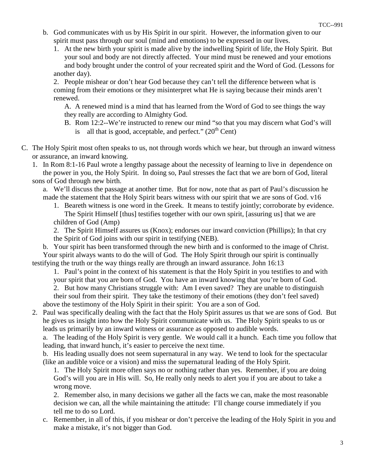- b. God communicates with us by His Spirit in our spirit. However, the information given to our spirit must pass through our soul (mind and emotions) to be expressed in our lives.
	- 1. At the new birth your spirit is made alive by the indwelling Spirit of life, the Holy Spirit. But your soul and body are not directly affected. Your mind must be renewed and your emotions and body brought under the control of your recreated spirit and the Word of God. (Lessons for another day).

 2. People mishear or don't hear God because they can't tell the difference between what is coming from their emotions or they misinterpret what He is saying because their minds aren't renewed.

 A. A renewed mind is a mind that has learned from the Word of God to see things the way they really are according to Almighty God.

- B. Rom 12:2--We're instructed to renew our mind "so that you may discern what God's will is—all that is good, acceptable, and perfect."  $(20<sup>th</sup> Cent)$
- C. The Holy Spirit most often speaks to us, not through words which we hear, but through an inward witness or assurance, an inward knowing.

 1. In Rom 8:1-16 Paul wrote a lengthy passage about the necessity of learning to live in dependence on the power in you, the Holy Spirit. In doing so, Paul stresses the fact that we are born of God, literal sons of God through new birth.

- a. We'll discuss the passage at another time. But for now, note that as part of Paul's discussion he made the statement that the Holy Spirit bears witness with our spirit that we are sons of God. v16
	- 1. Beareth witness is one word in the Greek. It means to testify jointly; corroborate by evidence. The Spirit Himself [thus] testifies together with our own spirit, [assuring us] that we are children of God (Amp)

 2. The Spirit Himself assures us (Knox); endorses our inward conviction (Phillips); In that cry the Spirit of God joins with our spirit in testifying (NEB).

 b. Your spirit has been transformed through the new birth and is conformed to the image of Christ. Your spirit always wants to do the will of God. The Holy Spirit through our spirit is continually testifying the truth or the way things really are through an inward assurance. John 16:13

 1. Paul's point in the context of his statement is that the Holy Spirit in you testifies to and with your spirit that you are born of God. You have an inward knowing that you're born of God.

 2. But how many Christians struggle with: Am I even saved? They are unable to distinguish their soul from their spirit. They take the testimony of their emotions (they don't feel saved) above the testimony of the Holy Spirit in their spirit: You are a son of God.

 2. Paul was specifically dealing with the fact that the Holy Spirit assures us that we are sons of God. But he gives us insight into how the Holy Spirit communicate with us. The Holy Spirit speaks to us or leads us primarily by an inward witness or assurance as opposed to audible words.

 a. The leading of the Holy Spirit is very gentle. We would call it a hunch. Each time you follow that leading, that inward hunch, it's easier to perceive the next time.

 b. His leading usually does not seem supernatural in any way. We tend to look for the spectacular (like an audible voice or a vision) and miss the supernatural leading of the Holy Spirit.

 1. The Holy Spirit more often says no or nothing rather than yes. Remember, if you are doing God's will you are in His will. So, He really only needs to alert you if you are about to take a wrong move.

 2. Remember also, in many decisions we gather all the facts we can, make the most reasonable decision we can, all the while maintaining the attitude: I'll change course immediately if you tell me to do so Lord.

 c. Remember, in all of this, if you mishear or don't perceive the leading of the Holy Spirit in you and make a mistake, it's not bigger than God.